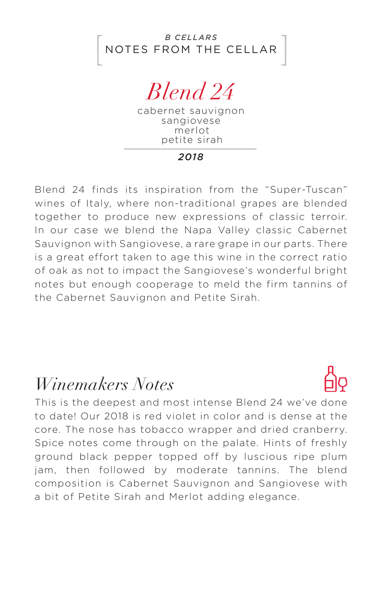

*Blend 24*

cabernet sauvignon sangiovese merlot petite sirah

*2018*

Blend 24 finds its inspiration from the "Super-Tuscan" wines of Italy, where non-traditional grapes are blended together to produce new expressions of classic terroir. In our case we blend the Napa Valley classic Cabernet Sauvignon with Sangiovese, a rare grape in our parts. There is a great effort taken to age this wine in the correct ratio of oak as not to impact the Sangiovese's wonderful bright notes but enough cooperage to meld the firm tannins of the Cabernet Sauvignon and Petite Sirah.

## *Winemakers Notes*



This is the deepest and most intense Blend 24 we've done to date! Our 2018 is red violet in color and is dense at the core. The nose has tobacco wrapper and dried cranberry. Spice notes come through on the palate. Hints of freshly ground black pepper topped off by luscious ripe plum jam, then followed by moderate tannins. The blend composition is Cabernet Sauvignon and Sangiovese with a bit of Petite Sirah and Merlot adding elegance.